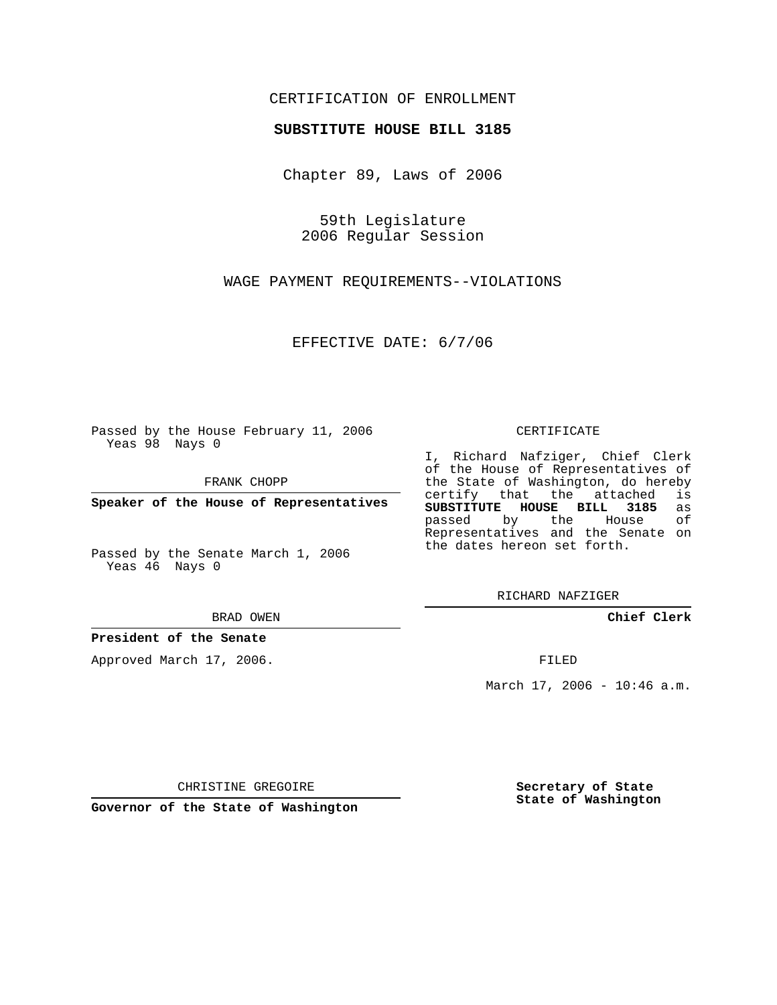## CERTIFICATION OF ENROLLMENT

### **SUBSTITUTE HOUSE BILL 3185**

Chapter 89, Laws of 2006

59th Legislature 2006 Regular Session

WAGE PAYMENT REQUIREMENTS--VIOLATIONS

EFFECTIVE DATE: 6/7/06

Passed by the House February 11, 2006 Yeas 98 Nays 0

FRANK CHOPP

**Speaker of the House of Representatives**

Passed by the Senate March 1, 2006 Yeas 46 Nays 0

#### BRAD OWEN

### **President of the Senate**

Approved March 17, 2006.

#### CERTIFICATE

I, Richard Nafziger, Chief Clerk of the House of Representatives of the State of Washington, do hereby<br>certify that the attached is certify that the attached **SUBSTITUTE HOUSE BILL 3185** as passed by the Representatives and the Senate on the dates hereon set forth.

RICHARD NAFZIGER

**Chief Clerk**

FILED

March 17, 2006 - 10:46 a.m.

CHRISTINE GREGOIRE

**Governor of the State of Washington**

**Secretary of State State of Washington**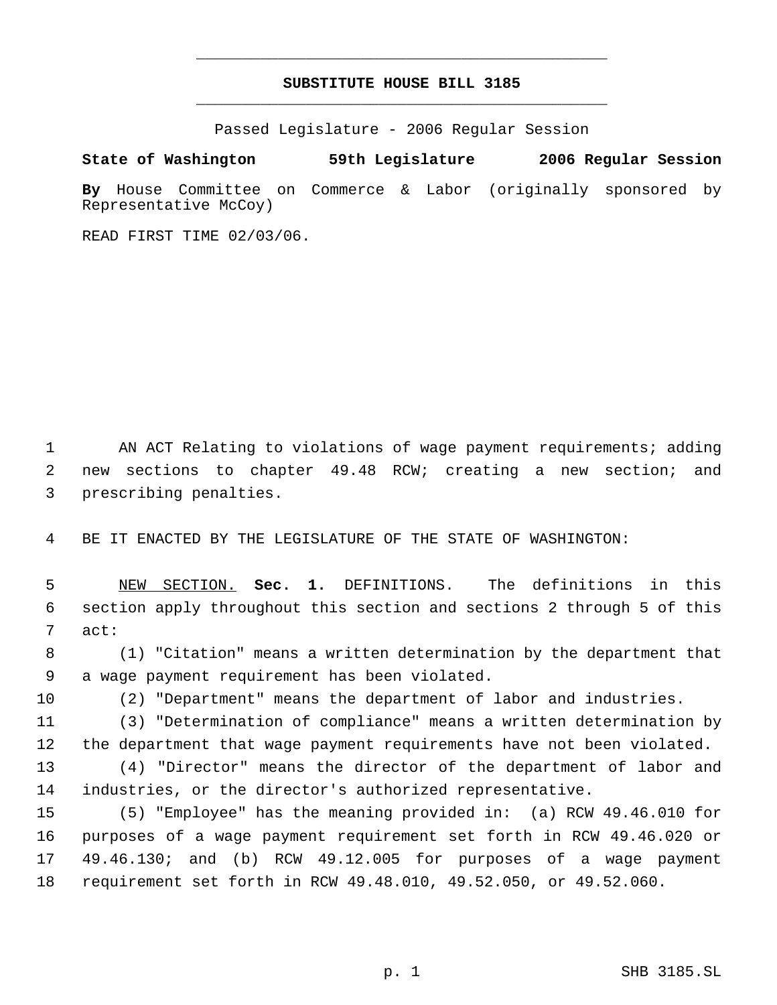# **SUBSTITUTE HOUSE BILL 3185** \_\_\_\_\_\_\_\_\_\_\_\_\_\_\_\_\_\_\_\_\_\_\_\_\_\_\_\_\_\_\_\_\_\_\_\_\_\_\_\_\_\_\_\_\_

\_\_\_\_\_\_\_\_\_\_\_\_\_\_\_\_\_\_\_\_\_\_\_\_\_\_\_\_\_\_\_\_\_\_\_\_\_\_\_\_\_\_\_\_\_

Passed Legislature - 2006 Regular Session

**State of Washington 59th Legislature 2006 Regular Session**

**By** House Committee on Commerce & Labor (originally sponsored by Representative McCoy)

READ FIRST TIME 02/03/06.

 AN ACT Relating to violations of wage payment requirements; adding new sections to chapter 49.48 RCW; creating a new section; and prescribing penalties.

BE IT ENACTED BY THE LEGISLATURE OF THE STATE OF WASHINGTON:

 NEW SECTION. **Sec. 1.** DEFINITIONS. The definitions in this section apply throughout this section and sections 2 through 5 of this act:

 (1) "Citation" means a written determination by the department that a wage payment requirement has been violated.

(2) "Department" means the department of labor and industries.

 (3) "Determination of compliance" means a written determination by the department that wage payment requirements have not been violated.

 (4) "Director" means the director of the department of labor and industries, or the director's authorized representative.

 (5) "Employee" has the meaning provided in: (a) RCW 49.46.010 for purposes of a wage payment requirement set forth in RCW 49.46.020 or 49.46.130; and (b) RCW 49.12.005 for purposes of a wage payment requirement set forth in RCW 49.48.010, 49.52.050, or 49.52.060.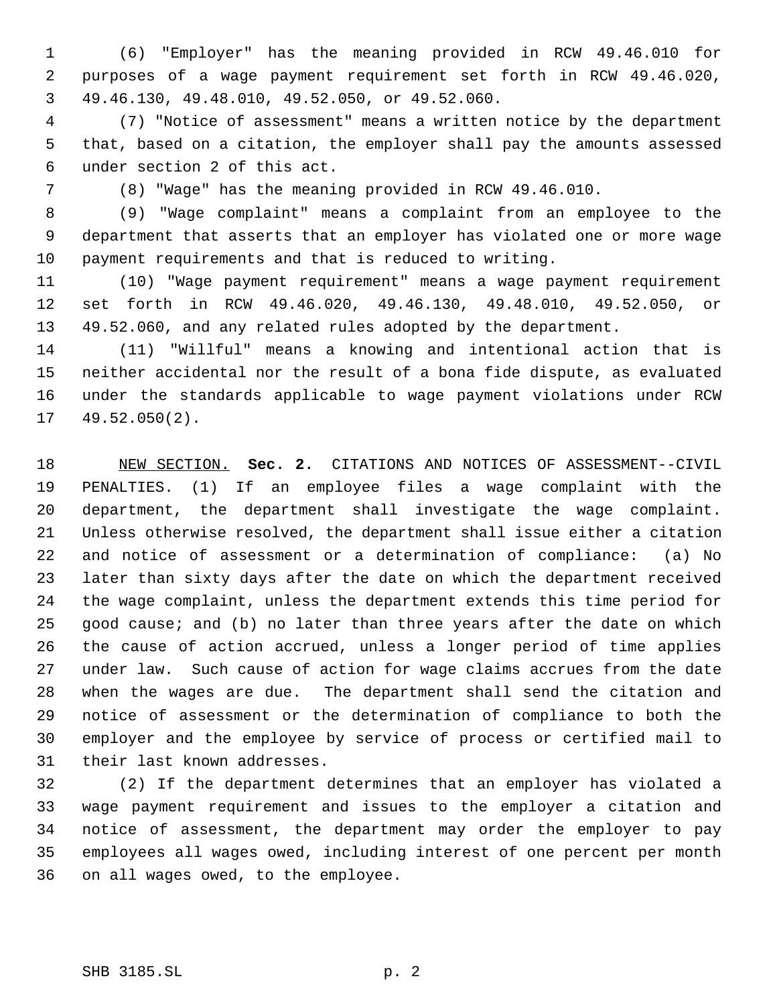(6) "Employer" has the meaning provided in RCW 49.46.010 for purposes of a wage payment requirement set forth in RCW 49.46.020, 49.46.130, 49.48.010, 49.52.050, or 49.52.060.

 (7) "Notice of assessment" means a written notice by the department that, based on a citation, the employer shall pay the amounts assessed under section 2 of this act.

(8) "Wage" has the meaning provided in RCW 49.46.010.

 (9) "Wage complaint" means a complaint from an employee to the department that asserts that an employer has violated one or more wage payment requirements and that is reduced to writing.

 (10) "Wage payment requirement" means a wage payment requirement set forth in RCW 49.46.020, 49.46.130, 49.48.010, 49.52.050, or 49.52.060, and any related rules adopted by the department.

 (11) "Willful" means a knowing and intentional action that is neither accidental nor the result of a bona fide dispute, as evaluated under the standards applicable to wage payment violations under RCW 49.52.050(2).

 NEW SECTION. **Sec. 2.** CITATIONS AND NOTICES OF ASSESSMENT--CIVIL PENALTIES. (1) If an employee files a wage complaint with the department, the department shall investigate the wage complaint. Unless otherwise resolved, the department shall issue either a citation and notice of assessment or a determination of compliance: (a) No later than sixty days after the date on which the department received the wage complaint, unless the department extends this time period for good cause; and (b) no later than three years after the date on which the cause of action accrued, unless a longer period of time applies under law. Such cause of action for wage claims accrues from the date when the wages are due. The department shall send the citation and notice of assessment or the determination of compliance to both the employer and the employee by service of process or certified mail to their last known addresses.

 (2) If the department determines that an employer has violated a wage payment requirement and issues to the employer a citation and notice of assessment, the department may order the employer to pay employees all wages owed, including interest of one percent per month on all wages owed, to the employee.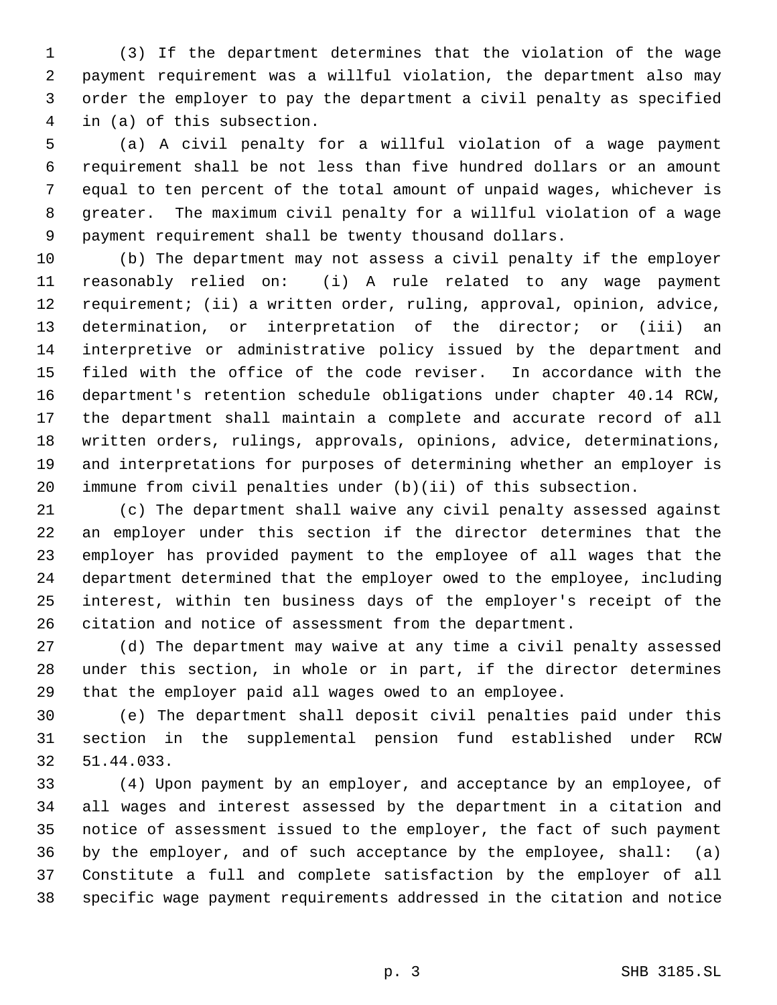(3) If the department determines that the violation of the wage payment requirement was a willful violation, the department also may order the employer to pay the department a civil penalty as specified in (a) of this subsection.

 (a) A civil penalty for a willful violation of a wage payment requirement shall be not less than five hundred dollars or an amount equal to ten percent of the total amount of unpaid wages, whichever is greater. The maximum civil penalty for a willful violation of a wage payment requirement shall be twenty thousand dollars.

 (b) The department may not assess a civil penalty if the employer reasonably relied on: (i) A rule related to any wage payment requirement; (ii) a written order, ruling, approval, opinion, advice, determination, or interpretation of the director; or (iii) an interpretive or administrative policy issued by the department and filed with the office of the code reviser. In accordance with the department's retention schedule obligations under chapter 40.14 RCW, the department shall maintain a complete and accurate record of all written orders, rulings, approvals, opinions, advice, determinations, and interpretations for purposes of determining whether an employer is immune from civil penalties under (b)(ii) of this subsection.

 (c) The department shall waive any civil penalty assessed against an employer under this section if the director determines that the employer has provided payment to the employee of all wages that the department determined that the employer owed to the employee, including interest, within ten business days of the employer's receipt of the citation and notice of assessment from the department.

 (d) The department may waive at any time a civil penalty assessed under this section, in whole or in part, if the director determines that the employer paid all wages owed to an employee.

 (e) The department shall deposit civil penalties paid under this section in the supplemental pension fund established under RCW 51.44.033.

 (4) Upon payment by an employer, and acceptance by an employee, of all wages and interest assessed by the department in a citation and notice of assessment issued to the employer, the fact of such payment by the employer, and of such acceptance by the employee, shall: (a) Constitute a full and complete satisfaction by the employer of all specific wage payment requirements addressed in the citation and notice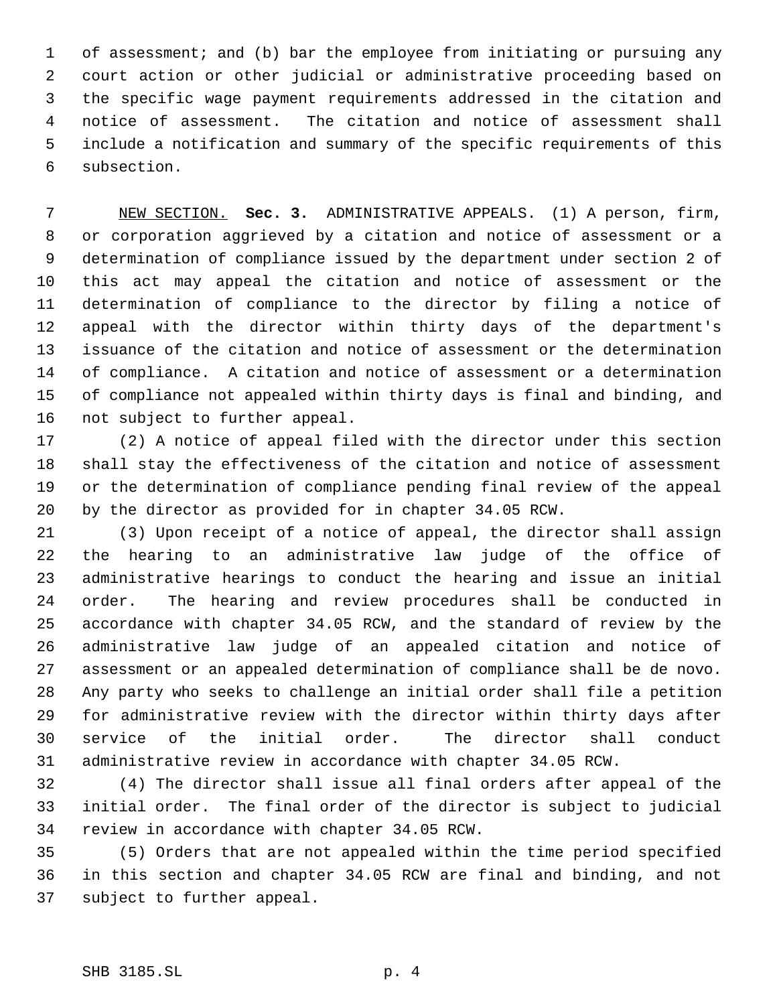of assessment; and (b) bar the employee from initiating or pursuing any court action or other judicial or administrative proceeding based on the specific wage payment requirements addressed in the citation and notice of assessment. The citation and notice of assessment shall include a notification and summary of the specific requirements of this subsection.

 NEW SECTION. **Sec. 3.** ADMINISTRATIVE APPEALS. (1) A person, firm, or corporation aggrieved by a citation and notice of assessment or a determination of compliance issued by the department under section 2 of this act may appeal the citation and notice of assessment or the determination of compliance to the director by filing a notice of appeal with the director within thirty days of the department's issuance of the citation and notice of assessment or the determination of compliance. A citation and notice of assessment or a determination of compliance not appealed within thirty days is final and binding, and not subject to further appeal.

 (2) A notice of appeal filed with the director under this section shall stay the effectiveness of the citation and notice of assessment or the determination of compliance pending final review of the appeal by the director as provided for in chapter 34.05 RCW.

 (3) Upon receipt of a notice of appeal, the director shall assign the hearing to an administrative law judge of the office of administrative hearings to conduct the hearing and issue an initial order. The hearing and review procedures shall be conducted in accordance with chapter 34.05 RCW, and the standard of review by the administrative law judge of an appealed citation and notice of assessment or an appealed determination of compliance shall be de novo. Any party who seeks to challenge an initial order shall file a petition for administrative review with the director within thirty days after service of the initial order. The director shall conduct administrative review in accordance with chapter 34.05 RCW.

 (4) The director shall issue all final orders after appeal of the initial order. The final order of the director is subject to judicial review in accordance with chapter 34.05 RCW.

 (5) Orders that are not appealed within the time period specified in this section and chapter 34.05 RCW are final and binding, and not subject to further appeal.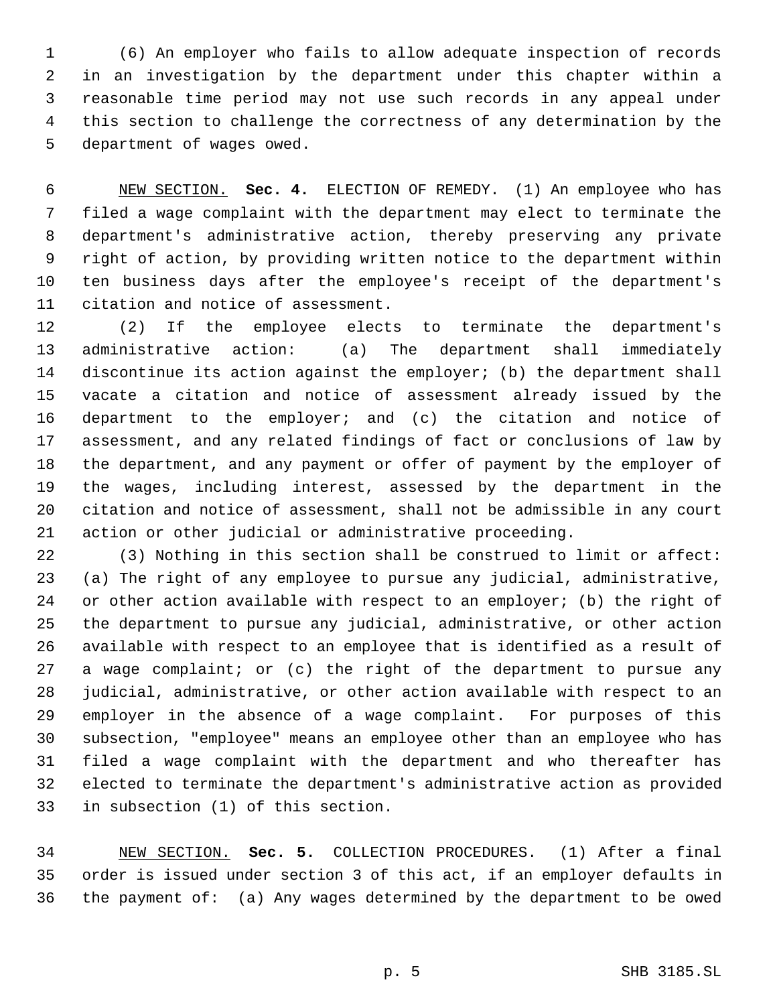(6) An employer who fails to allow adequate inspection of records in an investigation by the department under this chapter within a reasonable time period may not use such records in any appeal under this section to challenge the correctness of any determination by the department of wages owed.

 NEW SECTION. **Sec. 4.** ELECTION OF REMEDY. (1) An employee who has filed a wage complaint with the department may elect to terminate the department's administrative action, thereby preserving any private right of action, by providing written notice to the department within ten business days after the employee's receipt of the department's citation and notice of assessment.

 (2) If the employee elects to terminate the department's administrative action: (a) The department shall immediately discontinue its action against the employer; (b) the department shall vacate a citation and notice of assessment already issued by the department to the employer; and (c) the citation and notice of assessment, and any related findings of fact or conclusions of law by the department, and any payment or offer of payment by the employer of the wages, including interest, assessed by the department in the citation and notice of assessment, shall not be admissible in any court action or other judicial or administrative proceeding.

 (3) Nothing in this section shall be construed to limit or affect: (a) The right of any employee to pursue any judicial, administrative, 24 or other action available with respect to an employer; (b) the right of the department to pursue any judicial, administrative, or other action available with respect to an employee that is identified as a result of a wage complaint; or (c) the right of the department to pursue any judicial, administrative, or other action available with respect to an employer in the absence of a wage complaint. For purposes of this subsection, "employee" means an employee other than an employee who has filed a wage complaint with the department and who thereafter has elected to terminate the department's administrative action as provided in subsection (1) of this section.

 NEW SECTION. **Sec. 5.** COLLECTION PROCEDURES. (1) After a final order is issued under section 3 of this act, if an employer defaults in the payment of: (a) Any wages determined by the department to be owed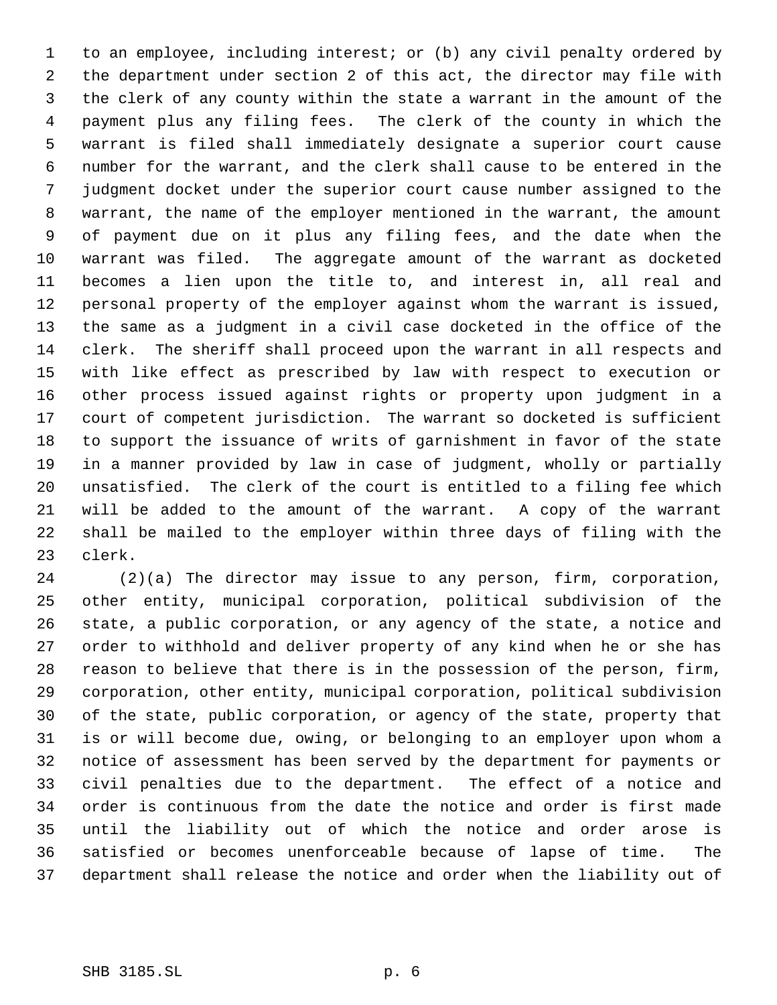to an employee, including interest; or (b) any civil penalty ordered by the department under section 2 of this act, the director may file with the clerk of any county within the state a warrant in the amount of the payment plus any filing fees. The clerk of the county in which the warrant is filed shall immediately designate a superior court cause number for the warrant, and the clerk shall cause to be entered in the judgment docket under the superior court cause number assigned to the warrant, the name of the employer mentioned in the warrant, the amount of payment due on it plus any filing fees, and the date when the warrant was filed. The aggregate amount of the warrant as docketed becomes a lien upon the title to, and interest in, all real and personal property of the employer against whom the warrant is issued, the same as a judgment in a civil case docketed in the office of the clerk. The sheriff shall proceed upon the warrant in all respects and with like effect as prescribed by law with respect to execution or other process issued against rights or property upon judgment in a court of competent jurisdiction. The warrant so docketed is sufficient to support the issuance of writs of garnishment in favor of the state in a manner provided by law in case of judgment, wholly or partially unsatisfied. The clerk of the court is entitled to a filing fee which will be added to the amount of the warrant. A copy of the warrant shall be mailed to the employer within three days of filing with the clerk.

 (2)(a) The director may issue to any person, firm, corporation, other entity, municipal corporation, political subdivision of the state, a public corporation, or any agency of the state, a notice and order to withhold and deliver property of any kind when he or she has reason to believe that there is in the possession of the person, firm, corporation, other entity, municipal corporation, political subdivision of the state, public corporation, or agency of the state, property that is or will become due, owing, or belonging to an employer upon whom a notice of assessment has been served by the department for payments or civil penalties due to the department. The effect of a notice and order is continuous from the date the notice and order is first made until the liability out of which the notice and order arose is satisfied or becomes unenforceable because of lapse of time. The department shall release the notice and order when the liability out of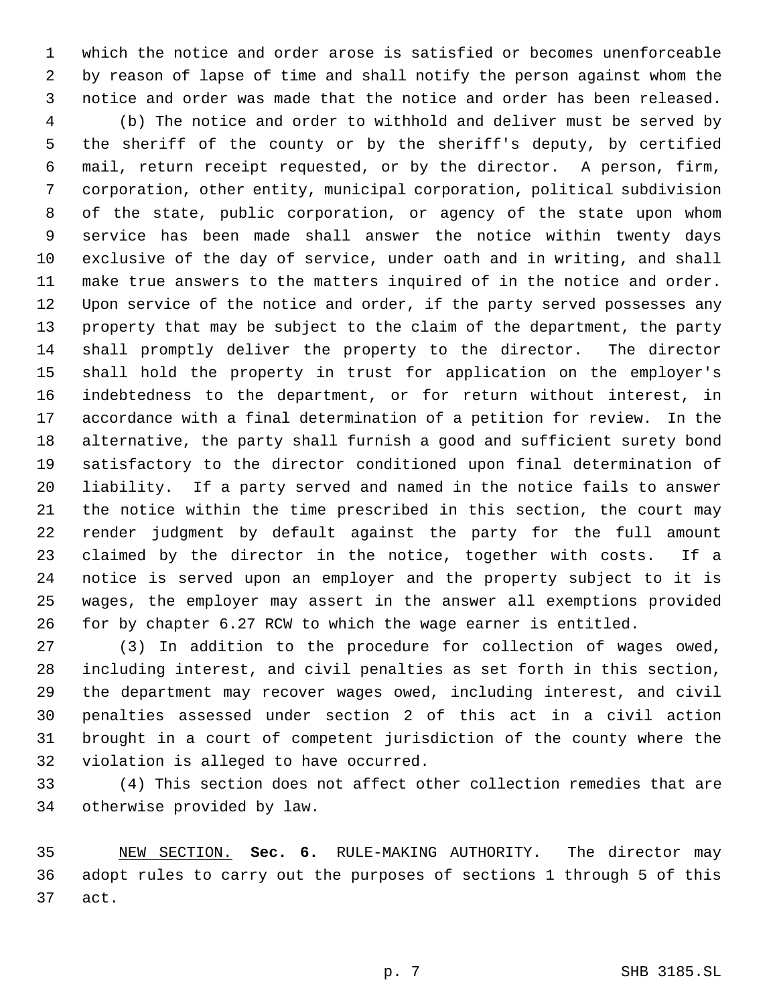which the notice and order arose is satisfied or becomes unenforceable by reason of lapse of time and shall notify the person against whom the notice and order was made that the notice and order has been released.

 (b) The notice and order to withhold and deliver must be served by the sheriff of the county or by the sheriff's deputy, by certified mail, return receipt requested, or by the director. A person, firm, corporation, other entity, municipal corporation, political subdivision of the state, public corporation, or agency of the state upon whom service has been made shall answer the notice within twenty days exclusive of the day of service, under oath and in writing, and shall make true answers to the matters inquired of in the notice and order. Upon service of the notice and order, if the party served possesses any property that may be subject to the claim of the department, the party shall promptly deliver the property to the director. The director shall hold the property in trust for application on the employer's indebtedness to the department, or for return without interest, in accordance with a final determination of a petition for review. In the alternative, the party shall furnish a good and sufficient surety bond satisfactory to the director conditioned upon final determination of liability. If a party served and named in the notice fails to answer the notice within the time prescribed in this section, the court may render judgment by default against the party for the full amount claimed by the director in the notice, together with costs. If a notice is served upon an employer and the property subject to it is wages, the employer may assert in the answer all exemptions provided for by chapter 6.27 RCW to which the wage earner is entitled.

 (3) In addition to the procedure for collection of wages owed, including interest, and civil penalties as set forth in this section, the department may recover wages owed, including interest, and civil penalties assessed under section 2 of this act in a civil action brought in a court of competent jurisdiction of the county where the violation is alleged to have occurred.

 (4) This section does not affect other collection remedies that are otherwise provided by law.

 NEW SECTION. **Sec. 6.** RULE-MAKING AUTHORITY. The director may adopt rules to carry out the purposes of sections 1 through 5 of this act.